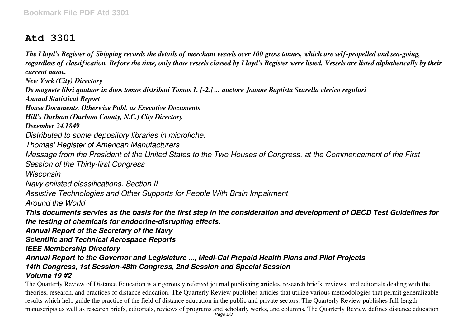## **Atd 3301**

*The Lloyd's Register of Shipping records the details of merchant vessels over 100 gross tonnes, which are self-propelled and sea-going, regardless of classification. Before the time, only those vessels classed by Lloyd's Register were listed. Vessels are listed alphabetically by their current name.*

*New York (City) Directory*

*De magnete libri quatuor in duos tomos distributi Tomus 1. [-2.] ... auctore Joanne Baptista Scarella clerico regulari*

*Annual Statistical Report*

*House Documents, Otherwise Publ. as Executive Documents*

*Hill's Durham (Durham County, N.C.) City Directory*

*December 24,1849*

*Distributed to some depository libraries in microfiche.*

*Thomas' Register of American Manufacturers*

*Message from the President of the United States to the Two Houses of Congress, at the Commencement of the First*

*Session of the Thirty-first Congress*

*Wisconsin*

*Navy enlisted classifications. Section II*

*Assistive Technologies and Other Supports for People With Brain Impairment*

*Around the World*

*This documents servies as the basis for the first step in the consideration and development of OECD Test Guidelines for the testing of chemicals for endocrine-disrupting effects.*

*Annual Report of the Secretary of the Navy*

*Scientific and Technical Aerospace Reports*

*IEEE Membership Directory*

*Annual Report to the Governor and Legislature ..., Medi-Cal Prepaid Health Plans and Pilot Projects 14th Congress, 1st Session-48th Congress, 2nd Session and Special Session*

## *Volume 19 #2*

The Quarterly Review of Distance Education is a rigorously refereed journal publishing articles, research briefs, reviews, and editorials dealing with the theories, research, and practices of distance education. The Quarterly Review publishes articles that utilize various methodologies that permit generalizable results which help guide the practice of the field of distance education in the public and private sectors. The Quarterly Review publishes full-length manuscripts as well as research briefs, editorials, reviews of programs and scholarly works, and columns. The Quarterly Review defines distance education<br>Page 1/3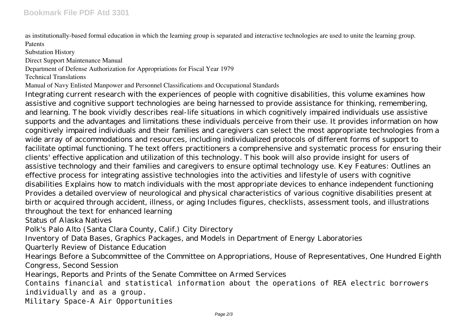as institutionally-based formal education in which the learning group is separated and interactive technologies are used to unite the learning group. Patents

Substation History

Direct Support Maintenance Manual

Department of Defense Authorization for Appropriations for Fiscal Year 1979

Technical Translations

Manual of Navy Enlisted Manpower and Personnel Classifications and Occupational Standards

Integrating current research with the experiences of people with cognitive disabilities, this volume examines how assistive and cognitive support technologies are being harnessed to provide assistance for thinking, remembering, and learning. The book vividly describes real-life situations in which cognitively impaired individuals use assistive supports and the advantages and limitations these individuals perceive from their use. It provides information on how cognitively impaired individuals and their families and caregivers can select the most appropriate technologies from a wide array of accommodations and resources, including individualized protocols of different forms of support to facilitate optimal functioning. The text offers practitioners a comprehensive and systematic process for ensuring their clients' effective application and utilization of this technology. This book will also provide insight for users of assistive technology and their families and caregivers to ensure optimal technology use. Key Features: Outlines an effective process for integrating assistive technologies into the activities and lifestyle of users with cognitive disabilities Explains how to match individuals with the most appropriate devices to enhance independent functioning Provides a detailed overview of neurological and physical characteristics of various cognitive disabilities present at birth or acquired through accident, illness, or aging Includes figures, checklists, assessment tools, and illustrations throughout the text for enhanced learning

Status of Alaska Natives

Polk's Palo Alto (Santa Clara County, Calif.) City Directory

Inventory of Data Bases, Graphics Packages, and Models in Department of Energy Laboratories

Quarterly Review of Distance Education

Hearings Before a Subcommittee of the Committee on Appropriations, House of Representatives, One Hundred Eighth Congress, Second Session

Hearings, Reports and Prints of the Senate Committee on Armed Services

Contains financial and statistical information about the operations of REA electric borrowers individually and as a group.

Military Space-A Air Opportunities